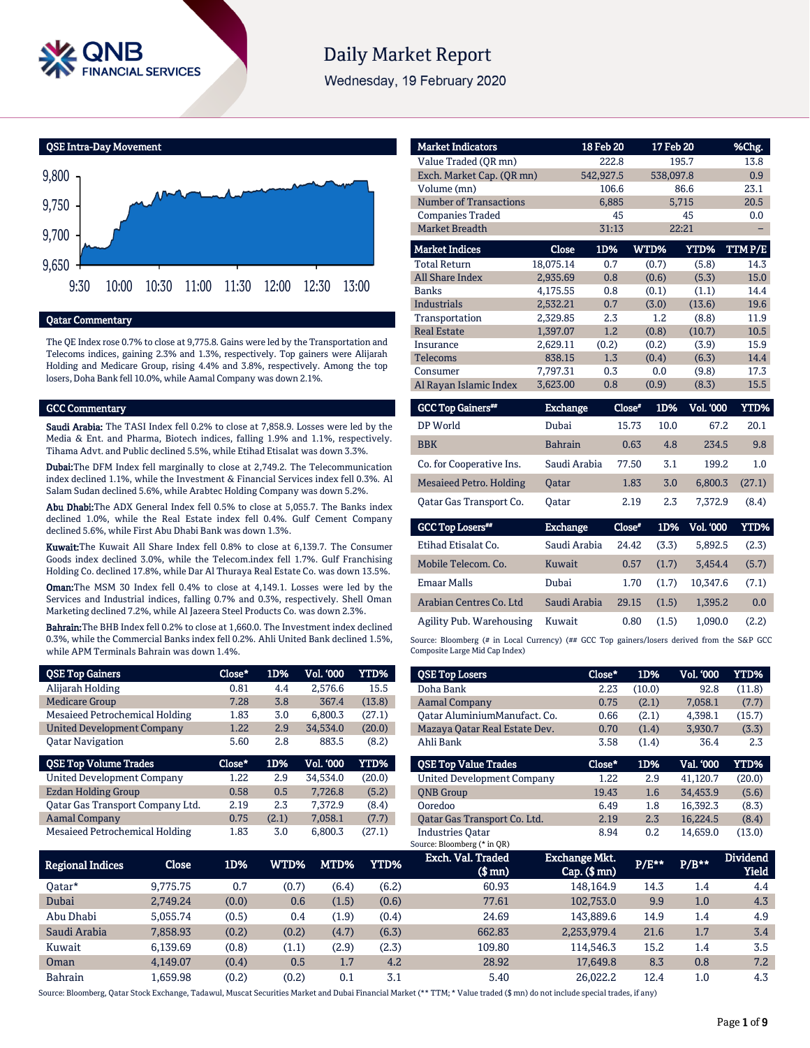

# **Daily Market Report**

Wednesday, 19 February 2020



# Qatar Commentary

The QE Index rose 0.7% to close at 9,775.8. Gains were led by the Transportation and Telecoms indices, gaining 2.3% and 1.3%, respectively. Top gainers were Alijarah Holding and Medicare Group, rising 4.4% and 3.8%, respectively. Among the top losers, Doha Bank fell 10.0%, while Aamal Company was down 2.1%.

#### GCC Commentary

Saudi Arabia: The TASI Index fell 0.2% to close at 7,858.9. Losses were led by the Media & Ent. and Pharma, Biotech indices, falling 1.9% and 1.1%, respectively. Tihama Advt. and Public declined 5.5%, while Etihad Etisalat was down 3.3%.

Dubai:The DFM Index fell marginally to close at 2,749.2. The Telecommunication index declined 1.1%, while the Investment & Financial Services index fell 0.3%. Al Salam Sudan declined 5.6%, while Arabtec Holding Company was down 5.2%.

Abu Dhabi: The ADX General Index fell 0.5% to close at 5,055.7. The Banks index declined 1.0%, while the Real Estate index fell 0.4%. Gulf Cement Company declined 5.6%, while First Abu Dhabi Bank was down 1.3%.

Kuwait:The Kuwait All Share Index fell 0.8% to close at 6,139.7. The Consumer Goods index declined 3.0%, while the Telecom.index fell 1.7%. Gulf Franchising Holding Co. declined 17.8%, while Dar Al Thuraya Real Estate Co. was down 13.5%.

Oman:The MSM 30 Index fell 0.4% to close at 4,149.1. Losses were led by the Services and Industrial indices, falling 0.7% and 0.3%, respectively. Shell Oman Marketing declined 7.2%, while Al Jazeera Steel Products Co. was down 2.3%.

Bahrain:The BHB Index fell 0.2% to close at 1,660.0. The Investment index declined 0.3%, while the Commercial Banks index fell 0.2%. Ahli United Bank declined 1.5%, while APM Terminals Bahrain was down 1.4%.

| <b>QSE Top Gainers</b>            | Close* | 1D%   | Vol. '000 | YTD%   |
|-----------------------------------|--------|-------|-----------|--------|
| Alijarah Holding                  | 0.81   | 4.4   | 2,576.6   | 15.5   |
| <b>Medicare Group</b>             | 7.28   | 3.8   | 367.4     | (13.8) |
| Mesaieed Petrochemical Holding    | 1.83   | 3.0   | 6,800.3   | (27.1) |
| <b>United Development Company</b> | 1.22   | 2.9   | 34,534.0  | (20.0) |
| <b>Oatar Navigation</b>           | 5.60   | 2.8   | 883.5     | (8.2)  |
|                                   |        |       |           |        |
| <b>QSE Top Volume Trades</b>      | Close* | 1D%   | Vol. '000 | YTD%   |
| <b>United Development Company</b> | 1.22   | 2.9   | 34.534.0  | (20.0) |
| Ezdan Holding Group               | 0.58   | 0.5   | 7,726.8   | (5.2)  |
| Qatar Gas Transport Company Ltd.  | 2.19   | 2.3   | 7.372.9   | (8.4)  |
| <b>Aamal Company</b>              | 0.75   | (2.1) | 7,058.1   | (7.7)  |

| <b>Market Indicators</b>      |              | 18 Feb 20 | 17 Feb 20 |        | %Chg.  |
|-------------------------------|--------------|-----------|-----------|--------|--------|
| Value Traded (OR mn)          |              | 222.8     |           | 195.7  | 13.8   |
| Exch. Market Cap. (QR mn)     |              | 542,927.5 | 538,097.8 |        | 0.9    |
| Volume (mn)                   |              | 106.6     |           | 86.6   | 23.1   |
| <b>Number of Transactions</b> |              | 6,885     |           | 5,715  | 20.5   |
| <b>Companies Traded</b>       |              | 45        |           | 45     | 0.0    |
| <b>Market Breadth</b>         |              | 31:13     |           | 22:21  |        |
| <b>Market Indices</b>         | <b>Close</b> | 1D%       | WTD%      | YTD%   | TTMP/E |
| <b>Total Return</b>           | 18,075.14    | 0.7       | (0.7)     | (5.8)  | 14.3   |
| <b>All Share Index</b>        | 2.935.69     | 0.8       | (0.6)     | (5.3)  | 15.0   |
| <b>Banks</b>                  | 4,175.55     | 0.8       | (0.1)     | (1.1)  | 14.4   |
| Industrials                   | 2,532.21     | 0.7       | (3.0)     | (13.6) | 19.6   |
| Transportation                | 2.329.85     | 2.3       | 1.2       | (8.8)  | 11.9   |
| <b>Real Estate</b>            | 1,397.07     | 1.2       | (0.8)     | (10.7) | 10.5   |
| Insurance                     | 2,629.11     | (0.2)     | (0.2)     | (3.9)  | 15.9   |
| <b>Telecoms</b>               | 838.15       | 1.3       | (0.4)     | (6.3)  | 14.4   |
| Consumer                      | 7,797.31     | 0.3       | 0.0       | (9.8)  | 17.3   |
| Al Rayan Islamic Index        | 3,623.00     | 0.8       | (0.9)     | (8.3)  | 15.5   |
|                               |              |           |           |        |        |

| <b>GCC Top Gainers</b> <sup>##</sup> | Exchange       | Close" | 1D%  | <b>Vol. '000</b> | YTD%   |
|--------------------------------------|----------------|--------|------|------------------|--------|
| DP World                             | Dubai          | 15.73  | 10.0 | 67.2             | 20.1   |
| <b>BBK</b>                           | <b>Bahrain</b> | 0.63   | 4.8  | 2.34.5           | 9.8    |
| Co. for Cooperative Ins.             | Saudi Arabia   | 77.50  | 3.1  | 199.2            | 1.0    |
| Mesaieed Petro. Holding              | <b>Oatar</b>   | 1.83   | 3.0  | 6.800.3          | (27.1) |
| Oatar Gas Transport Co.              | Oatar          | 2.19   | 2.3  | 7.372.9          | (8.4)  |
|                                      |                |        |      |                  |        |

| <b>GCC Top Losers**</b>  | <b>Exchange</b> | Close* | 1D%   | <b>Vol. '000</b> | YTD%  |
|--------------------------|-----------------|--------|-------|------------------|-------|
| Etihad Etisalat Co.      | Saudi Arabia    | 24.42  | (3.3) | 5.892.5          | (2.3) |
| Mobile Telecom, Co.      | Kuwait          | 0.57   | (1.7) | 3.454.4          | (5.7) |
| <b>Emaar Malls</b>       | Dubai           | 1.70   | (1.7) | 10.347.6         | (7.1) |
| Arabian Centres Co. Ltd  | Saudi Arabia    | 29.15  | (1.5) | 1.395.2          | 0.0   |
| Agility Pub. Warehousing | Kuwait          | 0.80   | (1.5) | 1.090.0          | (2.2) |

Source: Bloomberg (# in Local Currency) (## GCC Top gainers/losers derived from the S&P GCC Composite Large Mid Cap Index)

| <b>QSE Top Losers</b>             | Close* | 1D%    | <b>Vol. '000</b> | YTD%   |
|-----------------------------------|--------|--------|------------------|--------|
| Doha Bank                         | 2.23   | (10.0) | 92.8             | (11.8) |
| <b>Aamal Company</b>              | 0.75   | (2.1)  | 7.058.1          | (7.7)  |
| Oatar AluminiumManufact. Co.      | 0.66   | (2.1)  | 4.398.1          | (15.7) |
| Mazaya Qatar Real Estate Dev.     | 0.70   | (1.4)  | 3,930.7          | (3.3)  |
| Ahli Bank                         | 3.58   | (1.4)  | 36.4             | 2.3    |
|                                   |        |        |                  |        |
| <b>QSE Top Value Trades</b>       | Close* | 1D%    | Val. '000        | YTD%   |
| <b>United Development Company</b> | 1.22   | 2.9    | 41.120.7         | (20.0) |
| <b>ONB Group</b>                  | 19.43  | 1.6    | 34,453.9         | (5.6)  |
| Ooredoo                           | 6.49   | 1.8    | 16.392.3         | (8.3)  |
| Oatar Gas Transport Co. Ltd.      | 2.19   | 2.3    | 16.224.5         | (8.4)  |

| <b>Regional Indices</b> | Close    | 1D%   | WTD%  | MTD%  | YTD%  | Exch. Val. Traded<br>(\$ mn) | Exchange Mkt.<br>$Cap.$ ( $$rm)$ ) | P/E** | $P/B**$ | <b>Dividend</b><br>Yield |
|-------------------------|----------|-------|-------|-------|-------|------------------------------|------------------------------------|-------|---------|--------------------------|
| 0atar*                  | 9.775.75 | 0.7   | (0.7) | (6.4) | (6.2) | 60.93                        | 148.164.9                          | 14.3  | 1.4     | 4.4                      |
| Dubai                   | 2.749.24 | (0.0) | 0.6   | (1.5) | (0.6) | 77.61                        | 102.753.0                          | 9.9   | 1.0     | 4.3                      |
| Abu Dhabi               | 5.055.74 | (0.5) | 0.4   | (1.9) | (0.4) | 24.69                        | 143,889.6                          | 14.9  | 1.4     | 4.9                      |
| Saudi Arabia            | 7,858.93 | (0.2) | (0.2) | (4.7) | (6.3) | 662.83                       | 2,253,979.4                        | 21.6  | 1.7     | 3.4                      |
| Kuwait                  | 6.139.69 | (0.8) | (1.1) | (2.9) | (2.3) | 109.80                       | 114.546.3                          | 15.2  | 1.4     | 3.5                      |
| Oman                    | 4.149.07 | (0.4) | 0.5   | 1.7   | 4.2   | 28.92                        | 17.649.8                           | 8.3   | 0.8     | 7.2                      |
| <b>Bahrain</b>          | .659.98  | (0.2) | (0.2) | 0.1   | 3.1   | 5.40                         | 26.022.2                           | 12.4  | $1.0\,$ | 4.3                      |

Source: Bloomberg, Qatar Stock Exchange, Tadawul, Muscat Securities Market and Dubai Financial Market (\*\* TTM; \* Value traded (\$ mn) do not include special trades, if any)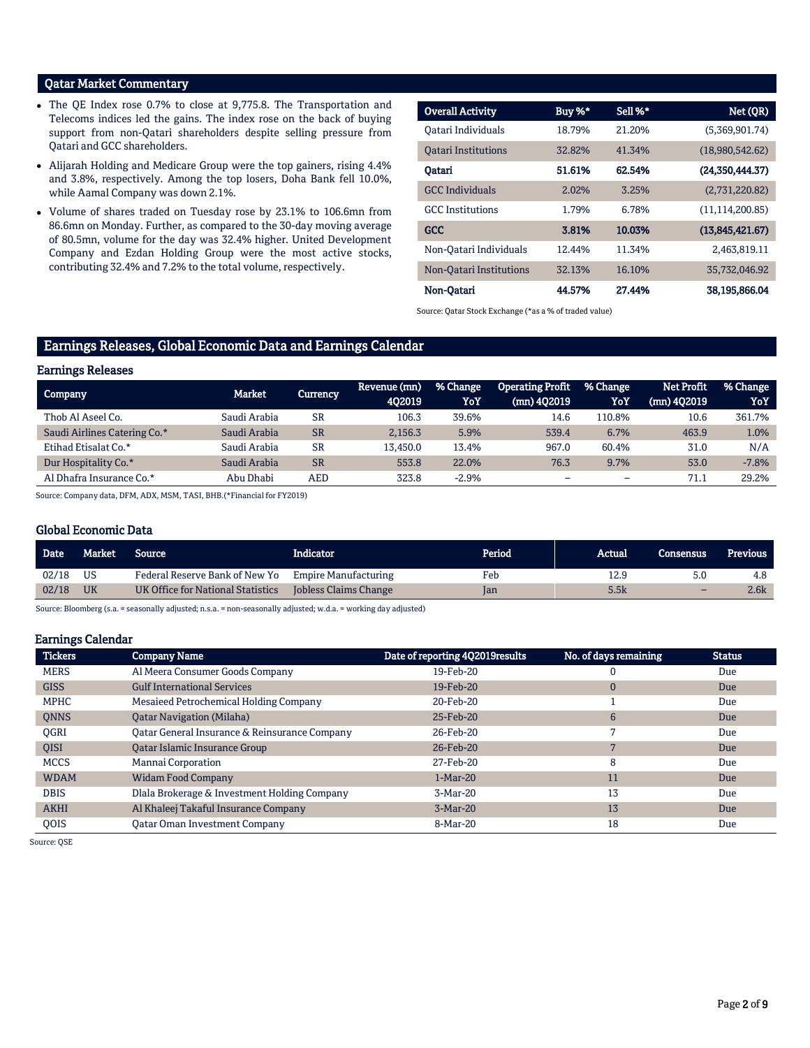# Qatar Market Commentary

- The QE Index rose 0.7% to close at 9,775.8. The Transportation and Telecoms indices led the gains. The index rose on the back of buying support from non-Qatari shareholders despite selling pressure from Qatari and GCC shareholders.
- Alijarah Holding and Medicare Group were the top gainers, rising 4.4% and 3.8%, respectively. Among the top losers, Doha Bank fell 10.0%, while Aamal Company was down 2.1%.
- Volume of shares traded on Tuesday rose by 23.1% to 106.6mn from 86.6mn on Monday. Further, as compared to the 30-day moving average of 80.5mn, volume for the day was 32.4% higher. United Development Company and Ezdan Holding Group were the most active stocks, contributing 32.4% and 7.2% to the total volume, respectively.

| <b>Overall Activity</b>    | Buy %* | Sell %* | Net (QR)          |
|----------------------------|--------|---------|-------------------|
| Oatari Individuals         | 18.79% | 21.20%  | (5,369,901.74)    |
| <b>Oatari Institutions</b> | 32.82% | 41.34%  | (18,980,542.62)   |
| Oatari                     | 51.61% | 62.54%  | (24.350.444.37)   |
| <b>GCC</b> Individuals     | 2.02%  | 3.25%   | (2,731,220.82)    |
| <b>GCC</b> Institutions    | 1.79%  | 6.78%   | (11, 114, 200.85) |
| GCC                        | 3.81%  | 10.03%  | (13,845,421.67)   |
| Non-Oatari Individuals     | 12.44% | 11.34%  | 2.463.819.11      |
| Non-Oatari Institutions    | 32.13% | 16.10%  | 35,732,046.92     |
| Non-Oatari                 | 44.57% | 27.44%  | 38.195.866.04     |

Source: Qatar Stock Exchange (\*as a % of traded value)

# Earnings Releases, Global Economic Data and Earnings Calendar

#### Earnings Releases

| Company                      | Market       | Currency  | Revenue (mn)<br>402019 | % Change<br>YoY | <b>Operating Profit</b><br>(mn) 402019 | % Change<br>YoY          | <b>Net Profit</b><br>$(mn)$ 402019 | % Change<br>YoY |
|------------------------------|--------------|-----------|------------------------|-----------------|----------------------------------------|--------------------------|------------------------------------|-----------------|
| Thob Al Aseel Co.            | Saudi Arabia | <b>SR</b> | 106.3                  | 39.6%           | 14.6                                   | 110.8%                   | 10.6                               | 361.7%          |
| Saudi Airlines Catering Co.* | Saudi Arabia | <b>SR</b> | 2,156.3                | 5.9%            | 539.4                                  | 6.7%                     | 463.9                              | 1.0%            |
| Etihad Etisalat Co.*         | Saudi Arabia | <b>SR</b> | 13,450.0               | 13.4%           | 967.0                                  | 60.4%                    | 31.0                               | N/A             |
| Dur Hospitality Co.*         | Saudi Arabia | <b>SR</b> | 553.8                  | 22.0%           | 76.3                                   | 9.7%                     | 53.0                               | $-7.8%$         |
| Al Dhafra Insurance Co.*     | Abu Dhabi    | AED       | 323.8                  | $-2.9%$         | -                                      | $\overline{\phantom{a}}$ | 71.1                               | 29.2%           |

Source: Company data, DFM, ADX, MSM, TASI, BHB.(\*Financial for FY2019)

#### Global Economic Data

| <b>Date</b> | Market    | Source                            | Indicator                   | Period | Actual | Consensus | <b>Previous</b> |
|-------------|-----------|-----------------------------------|-----------------------------|--------|--------|-----------|-----------------|
| 02/18       | US        | Federal Reserve Bank of New Yo    | <b>Empire Manufacturing</b> | Feb    | 12.9   | 5.0       | 4.8             |
| 02/18       | <b>UK</b> | UK Office for National Statistics | Jobless Claims Change       | Jan    | 5.5k   | -         | 2.6k            |
|             |           |                                   |                             |        |        |           |                 |

Source: Bloomberg (s.a. = seasonally adjusted; n.s.a. = non-seasonally adjusted; w.d.a. = working day adjusted)

#### Earnings Calendar

| <b>Tickers</b> | <b>Company Name</b>                           | Date of reporting 4Q2019results | No. of days remaining | <b>Status</b> |
|----------------|-----------------------------------------------|---------------------------------|-----------------------|---------------|
| <b>MERS</b>    | Al Meera Consumer Goods Company               | 19-Feb-20                       |                       | Due           |
| <b>GISS</b>    | <b>Gulf International Services</b>            | 19-Feb-20                       | $\mathbf{0}$          | Due           |
| <b>MPHC</b>    | Mesaieed Petrochemical Holding Company        | 20-Feb-20                       |                       | Due           |
| <b>ONNS</b>    | <b>Oatar Navigation (Milaha)</b>              | 25-Feb-20                       | 6                     | Due           |
| <b>OGRI</b>    | Oatar General Insurance & Reinsurance Company | 26-Feb-20                       |                       | Due           |
| <b>OISI</b>    | Qatar Islamic Insurance Group                 | 26-Feb-20                       |                       | Due           |
| <b>MCCS</b>    | Mannai Corporation                            | 27-Feb-20                       | 8                     | Due           |
| <b>WDAM</b>    | <b>Widam Food Company</b>                     | $1-Mar-20$                      | 11                    | Due           |
| <b>DBIS</b>    | Dlala Brokerage & Investment Holding Company  | 3-Mar-20                        | 13                    | Due           |
| <b>AKHI</b>    | Al Khaleej Takaful Insurance Company          | $3-Mar-20$                      | 13                    | Due           |
| <b>OOIS</b>    | <b>Qatar Oman Investment Company</b>          | 8-Mar-20                        | 18                    | Due           |

Source: QSE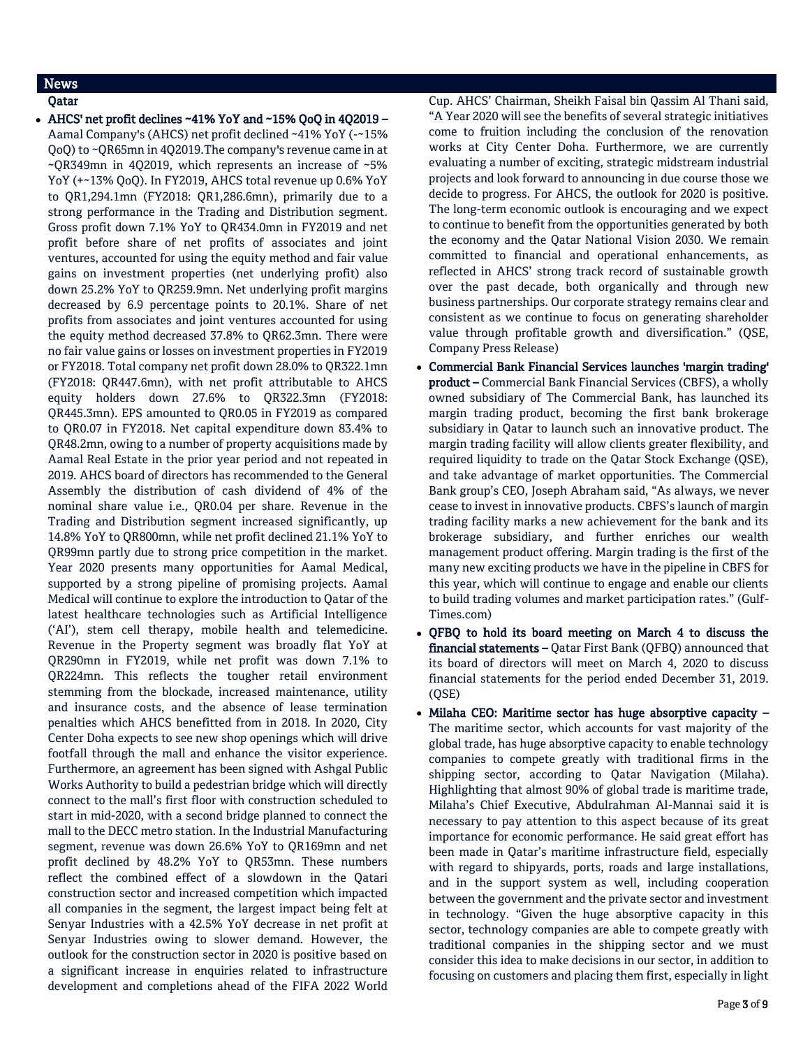# News

Qatar

 AHCS' net profit declines ~41% YoY and ~15% QoQ in 4Q2019 – Aamal Company's (AHCS) net profit declined ~41% YoY (-~15% QoQ) to ~QR65mn in 4Q2019.The company's revenue came in at ~QR349mn in 4Q2019, which represents an increase of ~5% YoY (+~13% QoQ). In FY2019, AHCS total revenue up 0.6% YoY to QR1,294.1mn (FY2018: QR1,286.6mn), primarily due to a strong performance in the Trading and Distribution segment. Gross profit down 7.1% YoY to QR434.0mn in FY2019 and net profit before share of net profits of associates and joint ventures, accounted for using the equity method and fair value gains on investment properties (net underlying profit) also down 25.2% YoY to QR259.9mn. Net underlying profit margins decreased by 6.9 percentage points to 20.1%. Share of net profits from associates and joint ventures accounted for using the equity method decreased 37.8% to QR62.3mn. There were no fair value gains or losses on investment properties in FY2019 or FY2018. Total company net profit down 28.0% to QR322.1mn (FY2018: QR447.6mn), with net profit attributable to AHCS equity holders down 27.6% to QR322.3mn (FY2018: QR445.3mn). EPS amounted to QR0.05 in FY2019 as compared to QR0.07 in FY2018. Net capital expenditure down 83.4% to QR48.2mn, owing to a number of property acquisitions made by Aamal Real Estate in the prior year period and not repeated in 2019. AHCS board of directors has recommended to the General Assembly the distribution of cash dividend of 4% of the nominal share value i.e., QR0.04 per share. Revenue in the Trading and Distribution segment increased significantly, up 14.8% YoY to QR800mn, while net profit declined 21.1% YoY to QR99mn partly due to strong price competition in the market. Year 2020 presents many opportunities for Aamal Medical, supported by a strong pipeline of promising projects. Aamal Medical will continue to explore the introduction to Qatar of the latest healthcare technologies such as Artificial Intelligence ('AI'), stem cell therapy, mobile health and telemedicine. Revenue in the Property segment was broadly flat YoY at QR290mn in FY2019, while net profit was down 7.1% to QR224mn. This reflects the tougher retail environment stemming from the blockade, increased maintenance, utility and insurance costs, and the absence of lease termination penalties which AHCS benefitted from in 2018. In 2020, City Center Doha expects to see new shop openings which will drive footfall through the mall and enhance the visitor experience. Furthermore, an agreement has been signed with Ashgal Public Works Authority to build a pedestrian bridge which will directly connect to the mall's first floor with construction scheduled to start in mid-2020, with a second bridge planned to connect the mall to the DECC metro station. In the Industrial Manufacturing segment, revenue was down 26.6% YoY to QR169mn and net profit declined by 48.2% YoY to QR53mn. These numbers reflect the combined effect of a slowdown in the Qatari construction sector and increased competition which impacted all companies in the segment, the largest impact being felt at Senyar Industries with a 42.5% YoY decrease in net profit at Senyar Industries owing to slower demand. However, the outlook for the construction sector in 2020 is positive based on a significant increase in enquiries related to infrastructure development and completions ahead of the FIFA 2022 World

Cup. AHCS' Chairman, Sheikh Faisal bin Qassim Al Thani said, "A Year 2020 will see the benefits of several strategic initiatives come to fruition including the conclusion of the renovation works at City Center Doha. Furthermore, we are currently evaluating a number of exciting, strategic midstream industrial projects and look forward to announcing in due course those we decide to progress. For AHCS, the outlook for 2020 is positive. The long-term economic outlook is encouraging and we expect to continue to benefit from the opportunities generated by both the economy and the Qatar National Vision 2030. We remain committed to financial and operational enhancements, as reflected in AHCS' strong track record of sustainable growth over the past decade, both organically and through new business partnerships. Our corporate strategy remains clear and consistent as we continue to focus on generating shareholder value through profitable growth and diversification." (QSE, Company Press Release)

- Commercial Bank Financial Services launches 'margin trading' product – Commercial Bank Financial Services (CBFS), a wholly owned subsidiary of The Commercial Bank, has launched its margin trading product, becoming the first bank brokerage subsidiary in Qatar to launch such an innovative product. The margin trading facility will allow clients greater flexibility, and required liquidity to trade on the Qatar Stock Exchange (QSE), and take advantage of market opportunities. The Commercial Bank group's CEO, Joseph Abraham said, "As always, we never cease to invest in innovative products. CBFS's launch of margin trading facility marks a new achievement for the bank and its brokerage subsidiary, and further enriches our wealth management product offering. Margin trading is the first of the many new exciting products we have in the pipeline in CBFS for this year, which will continue to engage and enable our clients to build trading volumes and market participation rates." (Gulf-Times.com)
- QFBQ to hold its board meeting on March 4 to discuss the financial statements - Qatar First Bank (QFBQ) announced that its board of directors will meet on March 4, 2020 to discuss financial statements for the period ended December 31, 2019. (QSE)
- $\bullet$  Milaha CEO: Maritime sector has huge absorptive capacity  $-$ The maritime sector, which accounts for vast majority of the global trade, has huge absorptive capacity to enable technology companies to compete greatly with traditional firms in the shipping sector, according to Qatar Navigation (Milaha). Highlighting that almost 90% of global trade is maritime trade, Milaha's Chief Executive, Abdulrahman Al-Mannai said it is necessary to pay attention to this aspect because of its great importance for economic performance. He said great effort has been made in Qatar's maritime infrastructure field, especially with regard to shipyards, ports, roads and large installations, and in the support system as well, including cooperation between the government and the private sector and investment in technology. "Given the huge absorptive capacity in this sector, technology companies are able to compete greatly with traditional companies in the shipping sector and we must consider this idea to make decisions in our sector, in addition to focusing on customers and placing them first, especially in light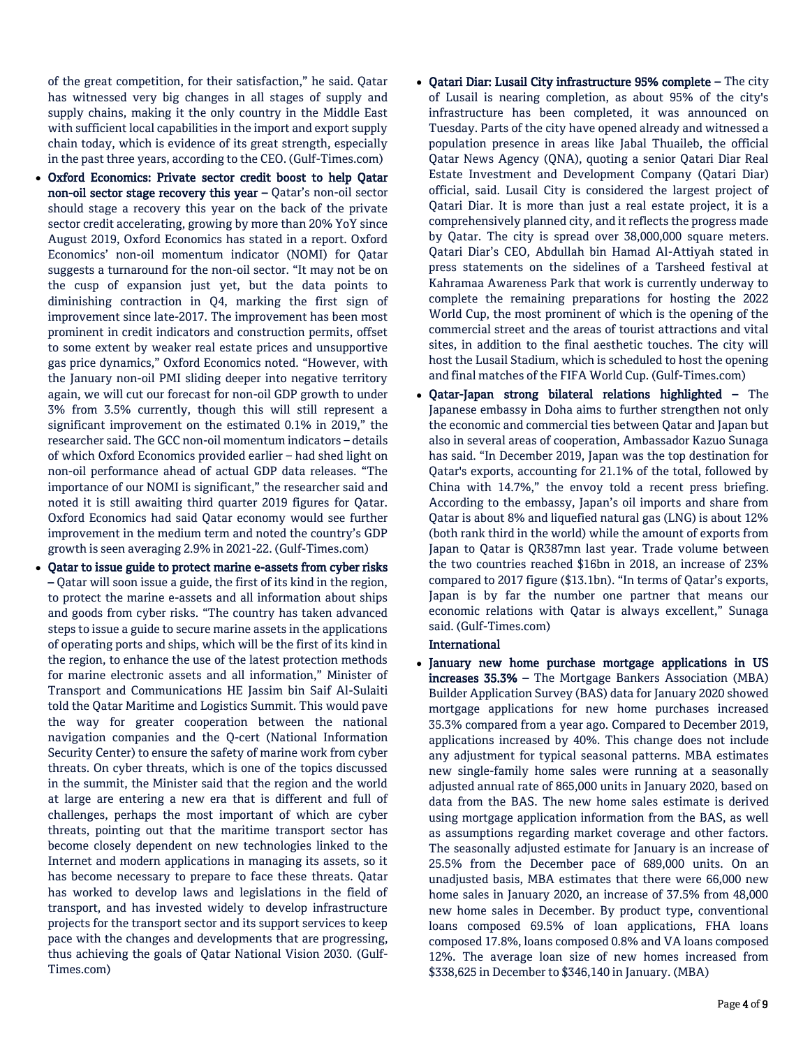of the great competition, for their satisfaction," he said. Qatar has witnessed very big changes in all stages of supply and supply chains, making it the only country in the Middle East with sufficient local capabilities in the import and export supply chain today, which is evidence of its great strength, especially in the past three years, according to the CEO. (Gulf-Times.com)

- Oxford Economics: Private sector credit boost to help Qatar non-oil sector stage recovery this year – Qatar's non-oil sector should stage a recovery this year on the back of the private sector credit accelerating, growing by more than 20% YoY since August 2019, Oxford Economics has stated in a report. Oxford Economics' non-oil momentum indicator (NOMI) for Qatar suggests a turnaround for the non-oil sector. "It may not be on the cusp of expansion just yet, but the data points to diminishing contraction in Q4, marking the first sign of improvement since late-2017. The improvement has been most prominent in credit indicators and construction permits, offset to some extent by weaker real estate prices and unsupportive gas price dynamics," Oxford Economics noted. "However, with the January non-oil PMI sliding deeper into negative territory again, we will cut our forecast for non-oil GDP growth to under 3% from 3.5% currently, though this will still represent a significant improvement on the estimated 0.1% in 2019," the researcher said. The GCC non-oil momentum indicators – details of which Oxford Economics provided earlier – had shed light on non-oil performance ahead of actual GDP data releases. "The importance of our NOMI is significant," the researcher said and noted it is still awaiting third quarter 2019 figures for Qatar. Oxford Economics had said Qatar economy would see further improvement in the medium term and noted the country's GDP growth is seen averaging 2.9% in 2021-22. (Gulf-Times.com)
- Qatar to issue guide to protect marine e-assets from cyber risks – Qatar will soon issue a guide, the first of its kind in the region, to protect the marine e-assets and all information about ships and goods from cyber risks. "The country has taken advanced steps to issue a guide to secure marine assets in the applications of operating ports and ships, which will be the first of its kind in the region, to enhance the use of the latest protection methods for marine electronic assets and all information," Minister of Transport and Communications HE Jassim bin Saif Al-Sulaiti told the Qatar Maritime and Logistics Summit. This would pave the way for greater cooperation between the national navigation companies and the Q-cert (National Information Security Center) to ensure the safety of marine work from cyber threats. On cyber threats, which is one of the topics discussed in the summit, the Minister said that the region and the world at large are entering a new era that is different and full of challenges, perhaps the most important of which are cyber threats, pointing out that the maritime transport sector has become closely dependent on new technologies linked to the Internet and modern applications in managing its assets, so it has become necessary to prepare to face these threats. Qatar has worked to develop laws and legislations in the field of transport, and has invested widely to develop infrastructure projects for the transport sector and its support services to keep pace with the changes and developments that are progressing, thus achieving the goals of Qatar National Vision 2030. (Gulf-Times.com)
- Qatari Diar: Lusail City infrastructure 95% complete The city of Lusail is nearing completion, as about 95% of the city's infrastructure has been completed, it was announced on Tuesday. Parts of the city have opened already and witnessed a population presence in areas like Jabal Thuaileb, the official Qatar News Agency (QNA), quoting a senior Qatari Diar Real Estate Investment and Development Company (Qatari Diar) official, said. Lusail City is considered the largest project of Qatari Diar. It is more than just a real estate project, it is a comprehensively planned city, and it reflects the progress made by Qatar. The city is spread over 38,000,000 square meters. Qatari Diar's CEO, Abdullah bin Hamad Al-Attiyah stated in press statements on the sidelines of a Tarsheed festival at Kahramaa Awareness Park that work is currently underway to complete the remaining preparations for hosting the 2022 World Cup, the most prominent of which is the opening of the commercial street and the areas of tourist attractions and vital sites, in addition to the final aesthetic touches. The city will host the Lusail Stadium, which is scheduled to host the opening and final matches of the FIFA World Cup. (Gulf-Times.com)
- Qatar-Japan strong bilateral relations highlighted The Japanese embassy in Doha aims to further strengthen not only the economic and commercial ties between Qatar and Japan but also in several areas of cooperation, Ambassador Kazuo Sunaga has said. "In December 2019, Japan was the top destination for Qatar's exports, accounting for 21.1% of the total, followed by China with 14.7%," the envoy told a recent press briefing. According to the embassy, Japan's oil imports and share from Qatar is about 8% and liquefied natural gas (LNG) is about 12% (both rank third in the world) while the amount of exports from Japan to Qatar is QR387mn last year. Trade volume between the two countries reached \$16bn in 2018, an increase of 23% compared to 2017 figure (\$13.1bn). "In terms of Qatar's exports, Japan is by far the number one partner that means our economic relations with Qatar is always excellent," Sunaga said. (Gulf-Times.com)

#### International

 January new home purchase mortgage applications in US increases 35.3% – The Mortgage Bankers Association (MBA) Builder Application Survey (BAS) data for January 2020 showed mortgage applications for new home purchases increased 35.3% compared from a year ago. Compared to December 2019, applications increased by 40%. This change does not include any adjustment for typical seasonal patterns. MBA estimates new single-family home sales were running at a seasonally adjusted annual rate of 865,000 units in January 2020, based on data from the BAS. The new home sales estimate is derived using mortgage application information from the BAS, as well as assumptions regarding market coverage and other factors. The seasonally adjusted estimate for January is an increase of 25.5% from the December pace of 689,000 units. On an unadjusted basis, MBA estimates that there were 66,000 new home sales in January 2020, an increase of 37.5% from 48,000 new home sales in December. By product type, conventional loans composed 69.5% of loan applications, FHA loans composed 17.8%, loans composed 0.8% and VA loans composed 12%. The average loan size of new homes increased from \$338,625 in December to \$346,140 in January. (MBA)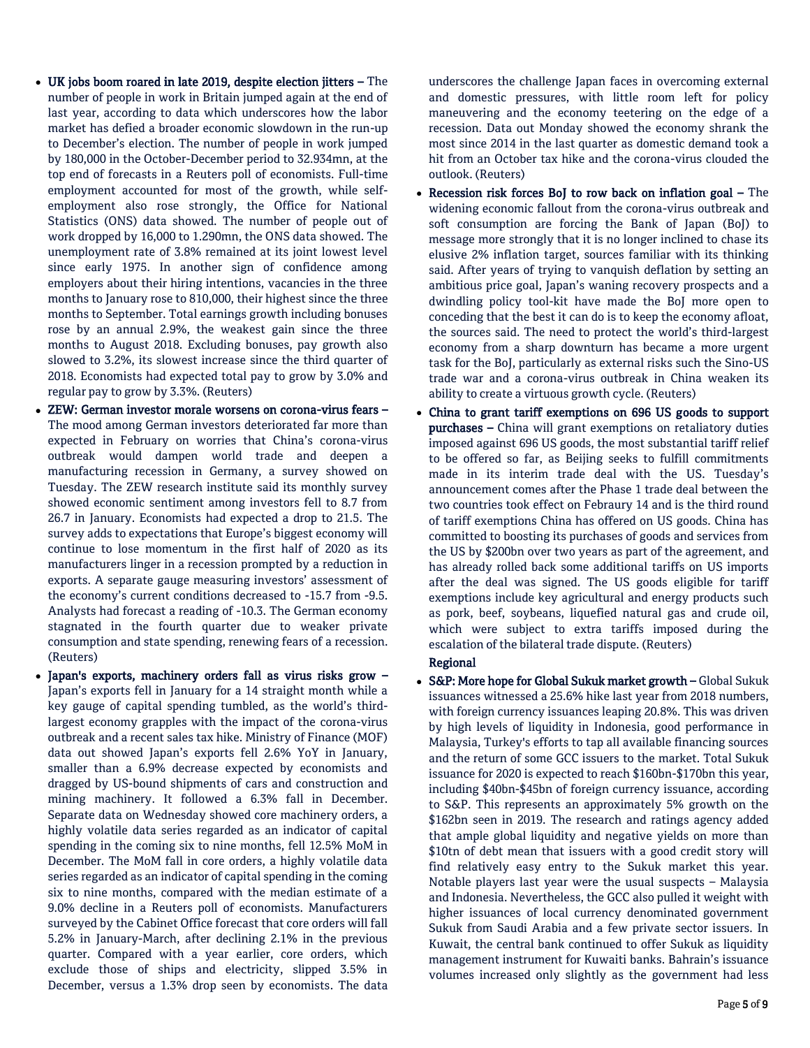- UK jobs boom roared in late 2019, despite election jitters The number of people in work in Britain jumped again at the end of last year, according to data which underscores how the labor market has defied a broader economic slowdown in the run-up to December's election. The number of people in work jumped by 180,000 in the October-December period to 32.934mn, at the top end of forecasts in a Reuters poll of economists. Full-time employment accounted for most of the growth, while selfemployment also rose strongly, the Office for National Statistics (ONS) data showed. The number of people out of work dropped by 16,000 to 1.290mn, the ONS data showed. The unemployment rate of 3.8% remained at its joint lowest level since early 1975. In another sign of confidence among employers about their hiring intentions, vacancies in the three months to January rose to 810,000, their highest since the three months to September. Total earnings growth including bonuses rose by an annual 2.9%, the weakest gain since the three months to August 2018. Excluding bonuses, pay growth also slowed to 3.2%, its slowest increase since the third quarter of 2018. Economists had expected total pay to grow by 3.0% and regular pay to grow by 3.3%. (Reuters)
- ZEW: German investor morale worsens on corona-virus fears The mood among German investors deteriorated far more than expected in February on worries that China's corona-virus outbreak would dampen world trade and deepen a manufacturing recession in Germany, a survey showed on Tuesday. The ZEW research institute said its monthly survey showed economic sentiment among investors fell to 8.7 from 26.7 in January. Economists had expected a drop to 21.5. The survey adds to expectations that Europe's biggest economy will continue to lose momentum in the first half of 2020 as its manufacturers linger in a recession prompted by a reduction in exports. A separate gauge measuring investors' assessment of the economy's current conditions decreased to -15.7 from -9.5. Analysts had forecast a reading of -10.3. The German economy stagnated in the fourth quarter due to weaker private consumption and state spending, renewing fears of a recession. (Reuters)
- Japan's exports, machinery orders fall as virus risks grow Japan's exports fell in January for a 14 straight month while a key gauge of capital spending tumbled, as the world's thirdlargest economy grapples with the impact of the corona-virus outbreak and a recent sales tax hike. Ministry of Finance (MOF) data out showed Japan's exports fell 2.6% YoY in January, smaller than a 6.9% decrease expected by economists and dragged by US-bound shipments of cars and construction and mining machinery. It followed a 6.3% fall in December. Separate data on Wednesday showed core machinery orders, a highly volatile data series regarded as an indicator of capital spending in the coming six to nine months, fell 12.5% MoM in December. The MoM fall in core orders, a highly volatile data series regarded as an indicator of capital spending in the coming six to nine months, compared with the median estimate of a 9.0% decline in a Reuters poll of economists. Manufacturers surveyed by the Cabinet Office forecast that core orders will fall 5.2% in January-March, after declining 2.1% in the previous quarter. Compared with a year earlier, core orders, which exclude those of ships and electricity, slipped 3.5% in December, versus a 1.3% drop seen by economists. The data

underscores the challenge Japan faces in overcoming external and domestic pressures, with little room left for policy maneuvering and the economy teetering on the edge of a recession. Data out Monday showed the economy shrank the most since 2014 in the last quarter as domestic demand took a hit from an October tax hike and the corona-virus clouded the outlook. (Reuters)

- Recession risk forces BoJ to row back on inflation goal The widening economic fallout from the corona-virus outbreak and soft consumption are forcing the Bank of Japan (BoJ) to message more strongly that it is no longer inclined to chase its elusive 2% inflation target, sources familiar with its thinking said. After years of trying to vanquish deflation by setting an ambitious price goal, Japan's waning recovery prospects and a dwindling policy tool-kit have made the BoJ more open to conceding that the best it can do is to keep the economy afloat, the sources said. The need to protect the world's third-largest economy from a sharp downturn has became a more urgent task for the BoJ, particularly as external risks such the Sino-US trade war and a corona-virus outbreak in China weaken its ability to create a virtuous growth cycle. (Reuters)
- China to grant tariff exemptions on 696 US goods to support purchases – China will grant exemptions on retaliatory duties imposed against 696 US goods, the most substantial tariff relief to be offered so far, as Beijing seeks to fulfill commitments made in its interim trade deal with the US. Tuesday's announcement comes after the Phase 1 trade deal between the two countries took effect on Febraury 14 and is the third round of tariff exemptions China has offered on US goods. China has committed to boosting its purchases of goods and services from the US by \$200bn over two years as part of the agreement, and has already rolled back some additional tariffs on US imports after the deal was signed. The US goods eligible for tariff exemptions include key agricultural and energy products such as pork, beef, soybeans, liquefied natural gas and crude oil, which were subject to extra tariffs imposed during the escalation of the bilateral trade dispute. (Reuters)

### Regional

 S&P: More hope for Global Sukuk market growth – Global Sukuk issuances witnessed a 25.6% hike last year from 2018 numbers, with foreign currency issuances leaping 20.8%. This was driven by high levels of liquidity in Indonesia, good performance in Malaysia, Turkey's efforts to tap all available financing sources and the return of some GCC issuers to the market. Total Sukuk issuance for 2020 is expected to reach \$160bn-\$170bn this year, including \$40bn-\$45bn of foreign currency issuance, according to S&P. This represents an approximately 5% growth on the \$162bn seen in 2019. The research and ratings agency added that ample global liquidity and negative yields on more than \$10tn of debt mean that issuers with a good credit story will find relatively easy entry to the Sukuk market this year. Notable players last year were the usual suspects – Malaysia and Indonesia. Nevertheless, the GCC also pulled it weight with higher issuances of local currency denominated government Sukuk from Saudi Arabia and a few private sector issuers. In Kuwait, the central bank continued to offer Sukuk as liquidity management instrument for Kuwaiti banks. Bahrain's issuance volumes increased only slightly as the government had less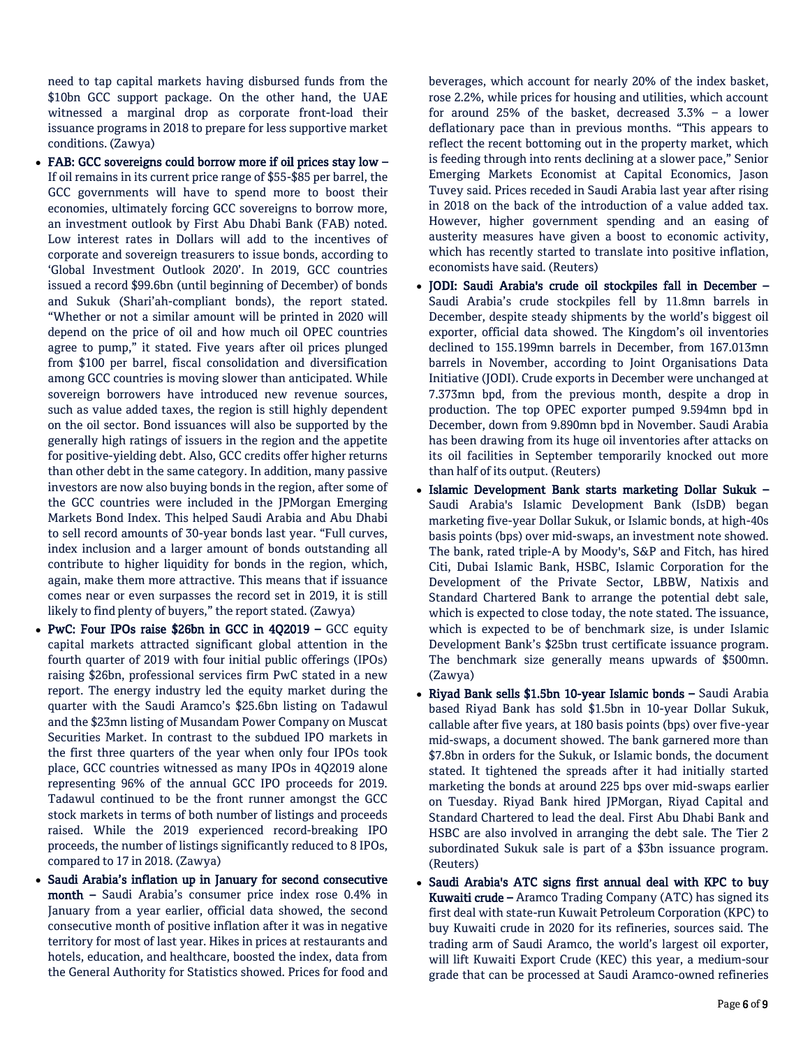need to tap capital markets having disbursed funds from the \$10bn GCC support package. On the other hand, the UAE witnessed a marginal drop as corporate front-load their issuance programs in 2018 to prepare for less supportive market conditions. (Zawya)

- FAB: GCC sovereigns could borrow more if oil prices stay low If oil remains in its current price range of \$55-\$85 per barrel, the GCC governments will have to spend more to boost their economies, ultimately forcing GCC sovereigns to borrow more, an investment outlook by First Abu Dhabi Bank (FAB) noted. Low interest rates in Dollars will add to the incentives of corporate and sovereign treasurers to issue bonds, according to 'Global Investment Outlook 2020'. In 2019, GCC countries issued a record \$99.6bn (until beginning of December) of bonds and Sukuk (Shari'ah-compliant bonds), the report stated. "Whether or not a similar amount will be printed in 2020 will depend on the price of oil and how much oil OPEC countries agree to pump," it stated. Five years after oil prices plunged from \$100 per barrel, fiscal consolidation and diversification among GCC countries is moving slower than anticipated. While sovereign borrowers have introduced new revenue sources, such as value added taxes, the region is still highly dependent on the oil sector. Bond issuances will also be supported by the generally high ratings of issuers in the region and the appetite for positive-yielding debt. Also, GCC credits offer higher returns than other debt in the same category. In addition, many passive investors are now also buying bonds in the region, after some of the GCC countries were included in the JPMorgan Emerging Markets Bond Index. This helped Saudi Arabia and Abu Dhabi to sell record amounts of 30-year bonds last year. "Full curves, index inclusion and a larger amount of bonds outstanding all contribute to higher liquidity for bonds in the region, which, again, make them more attractive. This means that if issuance comes near or even surpasses the record set in 2019, it is still likely to find plenty of buyers," the report stated. (Zawya)
- PwC: Four IPOs raise \$26bn in GCC in 4Q2019 GCC equity capital markets attracted significant global attention in the fourth quarter of 2019 with four initial public offerings (IPOs) raising \$26bn, professional services firm PwC stated in a new report. The energy industry led the equity market during the quarter with the Saudi Aramco's \$25.6bn listing on Tadawul and the \$23mn listing of Musandam Power Company on Muscat Securities Market. In contrast to the subdued IPO markets in the first three quarters of the year when only four IPOs took place, GCC countries witnessed as many IPOs in 4Q2019 alone representing 96% of the annual GCC IPO proceeds for 2019. Tadawul continued to be the front runner amongst the GCC stock markets in terms of both number of listings and proceeds raised. While the 2019 experienced record-breaking IPO proceeds, the number of listings significantly reduced to 8 IPOs, compared to 17 in 2018. (Zawya)
- Saudi Arabia's inflation up in January for second consecutive month – Saudi Arabia's consumer price index rose 0.4% in January from a year earlier, official data showed, the second consecutive month of positive inflation after it was in negative territory for most of last year. Hikes in prices at restaurants and hotels, education, and healthcare, boosted the index, data from the General Authority for Statistics showed. Prices for food and

beverages, which account for nearly 20% of the index basket, rose 2.2%, while prices for housing and utilities, which account for around 25% of the basket, decreased 3.3% – a lower deflationary pace than in previous months. "This appears to reflect the recent bottoming out in the property market, which is feeding through into rents declining at a slower pace," Senior Emerging Markets Economist at Capital Economics, Jason Tuvey said. Prices receded in Saudi Arabia last year after rising in 2018 on the back of the introduction of a value added tax. However, higher government spending and an easing of austerity measures have given a boost to economic activity, which has recently started to translate into positive inflation, economists have said. (Reuters)

- JODI: Saudi Arabia's crude oil stockpiles fall in December -Saudi Arabia's crude stockpiles fell by 11.8mn barrels in December, despite steady shipments by the world's biggest oil exporter, official data showed. The Kingdom's oil inventories declined to 155.199mn barrels in December, from 167.013mn barrels in November, according to Joint Organisations Data Initiative (JODI). Crude exports in December were unchanged at 7.373mn bpd, from the previous month, despite a drop in production. The top OPEC exporter pumped 9.594mn bpd in December, down from 9.890mn bpd in November. Saudi Arabia has been drawing from its huge oil inventories after attacks on its oil facilities in September temporarily knocked out more than half of its output. (Reuters)
- Islamic Development Bank starts marketing Dollar Sukuk Saudi Arabia's Islamic Development Bank (IsDB) began marketing five-year Dollar Sukuk, or Islamic bonds, at high-40s basis points (bps) over mid-swaps, an investment note showed. The bank, rated triple-A by Moody's, S&P and Fitch, has hired Citi, Dubai Islamic Bank, HSBC, Islamic Corporation for the Development of the Private Sector, LBBW, Natixis and Standard Chartered Bank to arrange the potential debt sale, which is expected to close today, the note stated. The issuance, which is expected to be of benchmark size, is under Islamic Development Bank's \$25bn trust certificate issuance program. The benchmark size generally means upwards of \$500mn. (Zawya)
- Riyad Bank sells \$1.5bn 10-year Islamic bonds Saudi Arabia based Riyad Bank has sold \$1.5bn in 10-year Dollar Sukuk, callable after five years, at 180 basis points (bps) over five-year mid-swaps, a document showed. The bank garnered more than \$7.8bn in orders for the Sukuk, or Islamic bonds, the document stated. It tightened the spreads after it had initially started marketing the bonds at around 225 bps over mid-swaps earlier on Tuesday. Riyad Bank hired JPMorgan, Riyad Capital and Standard Chartered to lead the deal. First Abu Dhabi Bank and HSBC are also involved in arranging the debt sale. The Tier 2 subordinated Sukuk sale is part of a \$3bn issuance program. (Reuters)
- Saudi Arabia's ATC signs first annual deal with KPC to buy Kuwaiti crude – Aramco Trading Company (ATC) has signed its first deal with state-run Kuwait Petroleum Corporation (KPC) to buy Kuwaiti crude in 2020 for its refineries, sources said. The trading arm of Saudi Aramco, the world's largest oil exporter, will lift Kuwaiti Export Crude (KEC) this year, a medium-sour grade that can be processed at Saudi Aramco-owned refineries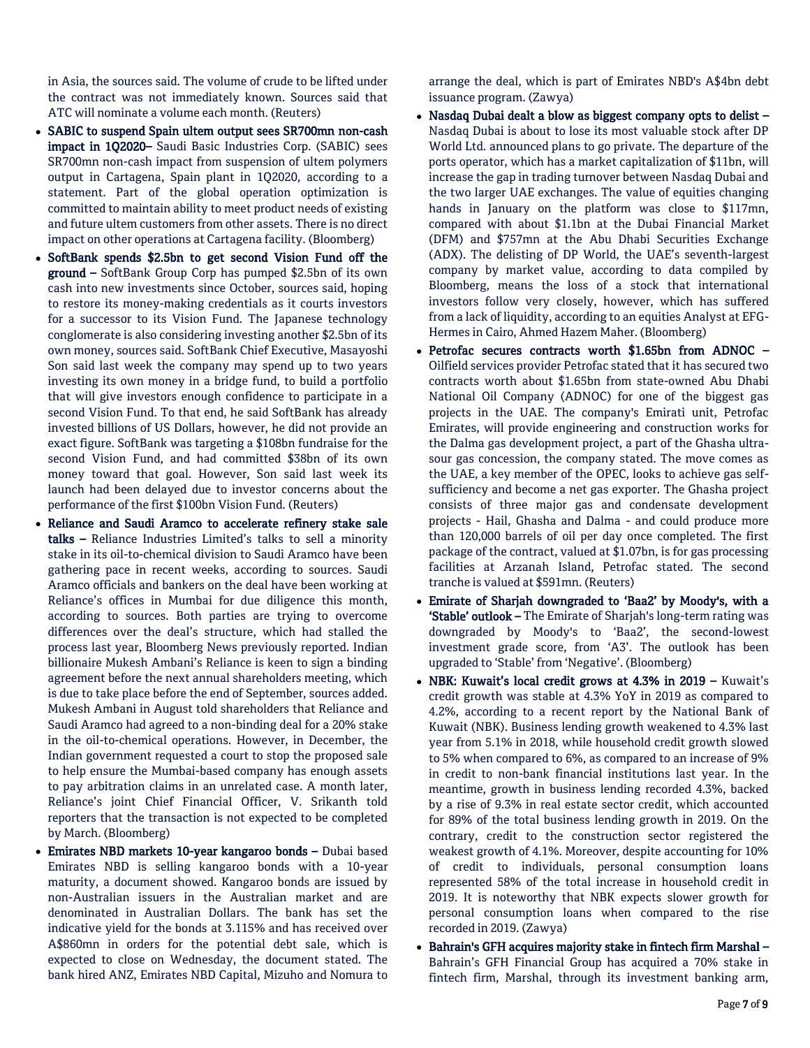in Asia, the sources said. The volume of crude to be lifted under the contract was not immediately known. Sources said that ATC will nominate a volume each month. (Reuters)

- SABIC to suspend Spain ultem output sees SR700mn non-cash impact in 1Q2020– Saudi Basic Industries Corp. (SABIC) sees SR700mn non-cash impact from suspension of ultem polymers output in Cartagena, Spain plant in 1Q2020, according to a statement. Part of the global operation optimization is committed to maintain ability to meet product needs of existing and future ultem customers from other assets. There is no direct impact on other operations at Cartagena facility. (Bloomberg)
- SoftBank spends \$2.5bn to get second Vision Fund off the ground – SoftBank Group Corp has pumped \$2.5bn of its own cash into new investments since October, sources said, hoping to restore its money-making credentials as it courts investors for a successor to its Vision Fund. The Japanese technology conglomerate is also considering investing another \$2.5bn of its own money, sources said. SoftBank Chief Executive, Masayoshi Son said last week the company may spend up to two years investing its own money in a bridge fund, to build a portfolio that will give investors enough confidence to participate in a second Vision Fund. To that end, he said SoftBank has already invested billions of US Dollars, however, he did not provide an exact figure. SoftBank was targeting a \$108bn fundraise for the second Vision Fund, and had committed \$38bn of its own money toward that goal. However, Son said last week its launch had been delayed due to investor concerns about the performance of the first \$100bn Vision Fund. (Reuters)
- Reliance and Saudi Aramco to accelerate refinery stake sale talks – Reliance Industries Limited's talks to sell a minority stake in its oil-to-chemical division to Saudi Aramco have been gathering pace in recent weeks, according to sources. Saudi Aramco officials and bankers on the deal have been working at Reliance's offices in Mumbai for due diligence this month, according to sources. Both parties are trying to overcome differences over the deal's structure, which had stalled the process last year, Bloomberg News previously reported. Indian billionaire Mukesh Ambani's Reliance is keen to sign a binding agreement before the next annual shareholders meeting, which is due to take place before the end of September, sources added. Mukesh Ambani in August told shareholders that Reliance and Saudi Aramco had agreed to a non-binding deal for a 20% stake in the oil-to-chemical operations. However, in December, the Indian government requested a court to stop the proposed sale to help ensure the Mumbai-based company has enough assets to pay arbitration claims in an unrelated case. A month later, Reliance's joint Chief Financial Officer, V. Srikanth told reporters that the transaction is not expected to be completed by March. (Bloomberg)
- Emirates NBD markets 10-year kangaroo bonds Dubai based Emirates NBD is selling kangaroo bonds with a 10-year maturity, a document showed. Kangaroo bonds are issued by non-Australian issuers in the Australian market and are denominated in Australian Dollars. The bank has set the indicative yield for the bonds at 3.115% and has received over A\$860mn in orders for the potential debt sale, which is expected to close on Wednesday, the document stated. The bank hired ANZ, Emirates NBD Capital, Mizuho and Nomura to

arrange the deal, which is part of Emirates NBD's A\$4bn debt issuance program. (Zawya)

- Nasdaq Dubai dealt a blow as biggest company opts to delist Nasdaq Dubai is about to lose its most valuable stock after DP World Ltd. announced plans to go private. The departure of the ports operator, which has a market capitalization of \$11bn, will increase the gap in trading turnover between Nasdaq Dubai and the two larger UAE exchanges. The value of equities changing hands in January on the platform was close to \$117mn, compared with about \$1.1bn at the Dubai Financial Market (DFM) and \$757mn at the Abu Dhabi Securities Exchange (ADX). The delisting of DP World, the UAE's seventh-largest company by market value, according to data compiled by Bloomberg, means the loss of a stock that international investors follow very closely, however, which has suffered from a lack of liquidity, according to an equities Analyst at EFG-Hermes in Cairo, Ahmed Hazem Maher. (Bloomberg)
- Petrofac secures contracts worth \$1.65bn from ADNOC Oilfield services provider Petrofac stated that it has secured two contracts worth about \$1.65bn from state-owned Abu Dhabi National Oil Company (ADNOC) for one of the biggest gas projects in the UAE. The company's Emirati unit, Petrofac Emirates, will provide engineering and construction works for the Dalma gas development project, a part of the Ghasha ultrasour gas concession, the company stated. The move comes as the UAE, a key member of the OPEC, looks to achieve gas selfsufficiency and become a net gas exporter. The Ghasha project consists of three major gas and condensate development projects - Hail, Ghasha and Dalma - and could produce more than 120,000 barrels of oil per day once completed. The first package of the contract, valued at \$1.07bn, is for gas processing facilities at Arzanah Island, Petrofac stated. The second tranche is valued at \$591mn. (Reuters)
- Emirate of Sharjah downgraded to 'Baa2' by Moody's, with a 'Stable' outlook – The Emirate of Sharjah's long-term rating was downgraded by Moody's to 'Baa2', the second-lowest investment grade score, from 'A3'. The outlook has been upgraded to 'Stable' from 'Negative'. (Bloomberg)
- NBK: Kuwait's local credit grows at 4.3% in 2019 Kuwait's credit growth was stable at 4.3% YoY in 2019 as compared to 4.2%, according to a recent report by the National Bank of Kuwait (NBK). Business lending growth weakened to 4.3% last year from 5.1% in 2018, while household credit growth slowed to 5% when compared to 6%, as compared to an increase of 9% in credit to non-bank financial institutions last year. In the meantime, growth in business lending recorded 4.3%, backed by a rise of 9.3% in real estate sector credit, which accounted for 89% of the total business lending growth in 2019. On the contrary, credit to the construction sector registered the weakest growth of 4.1%. Moreover, despite accounting for 10% of credit to individuals, personal consumption loans represented 58% of the total increase in household credit in 2019. It is noteworthy that NBK expects slower growth for personal consumption loans when compared to the rise recorded in 2019. (Zawya)
- Bahrain's GFH acquires majority stake in fintech firm Marshal Bahrain's GFH Financial Group has acquired a 70% stake in fintech firm, Marshal, through its investment banking arm,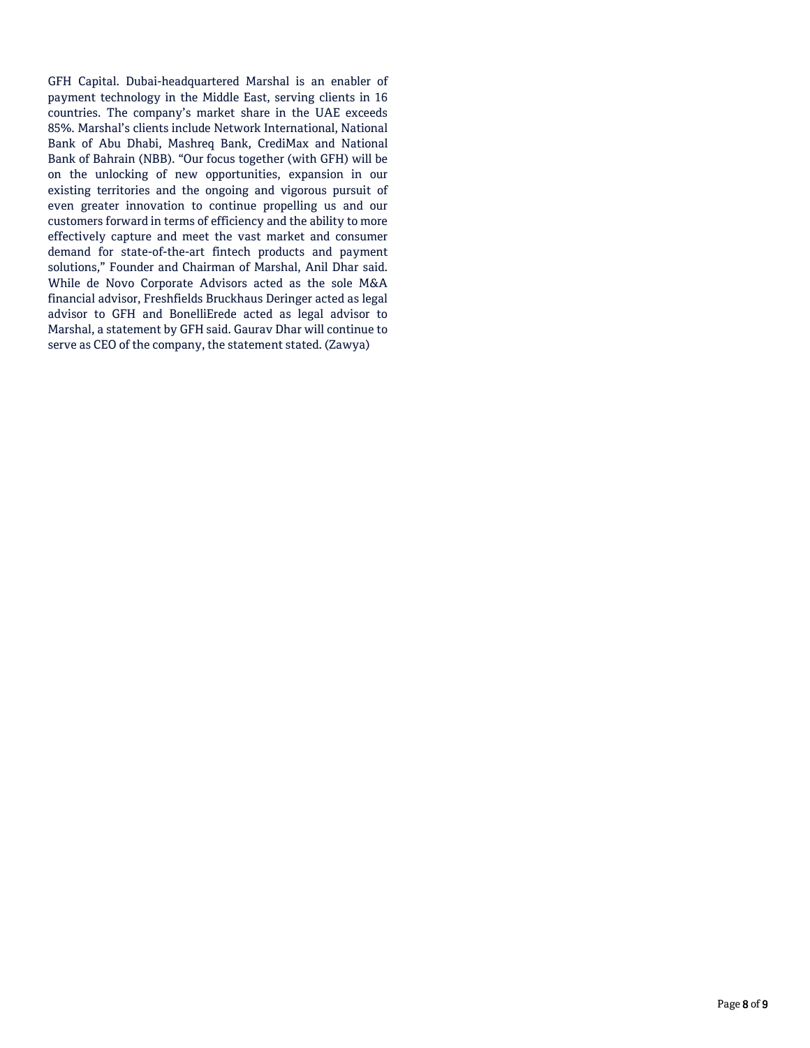GFH Capital. Dubai-headquartered Marshal is an enabler of payment technology in the Middle East, serving clients in 16 countries. The company's market share in the UAE exceeds 85%. Marshal's clients include Network International, National Bank of Abu Dhabi, Mashreq Bank, CrediMax and National Bank of Bahrain (NBB). "Our focus together (with GFH) will be on the unlocking of new opportunities, expansion in our existing territories and the ongoing and vigorous pursuit of even greater innovation to continue propelling us and our customers forward in terms of efficiency and the ability to more effectively capture and meet the vast market and consumer demand for state-of-the-art fintech products and payment solutions," Founder and Chairman of Marshal, Anil Dhar said. While de Novo Corporate Advisors acted as the sole M&A financial advisor, Freshfields Bruckhaus Deringer acted as legal advisor to GFH and BonelliErede acted as legal advisor to Marshal, a statement by GFH said. Gaurav Dhar will continue to serve as CEO of the company, the statement stated. (Zawya)